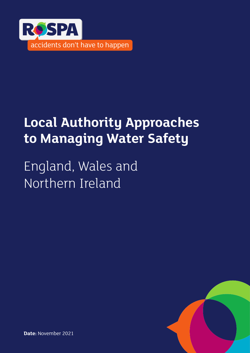

# **Local Authority Approaches to Managing Water Safety**

England, Wales and Northern Ireland



**Date:** November 2021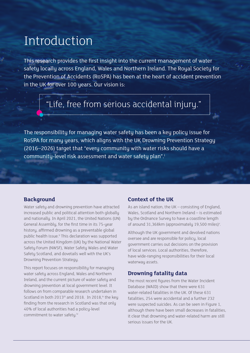### Introduction

This research provides the first insight into the current management of water safety locally across England, Wales and Northern Ireland. The Royal Society for the Prevention of Accidents (RoSPA) has been at the heart of accident prevention in the UK for over 100 years. Our vision is:

### "Life, free from serious accidental injury."

The responsibility for managing water safety has been a key policy issue for RoSPA for many years, which aligns with the UK Drowning Prevention Strategy (2016–2026) target that "every community with water risks should have a community-level risk assessment and water safety plan".<sup>i</sup>

#### **Background**

Water safety and drowning prevention have attracted increased public and political attention both globally and nationally. In April 2021, the United Nations (UN) General Assembly, for the first time in its 75-year history, affirmed drowning as a preventable global public health issue.<sup>ii</sup> This declaration was supported across the United Kingdom (UK) by the National Water Safety Forum (NWSF), Water Safety Wales and Water Safety Scotland, and dovetails well with the UK's Drowning Prevention Strategy.

This report focuses on responsibility for managing water safety across England, Wales and Northern Ireland, and the current picture of water safety and drowning prevention at local government level. It follows on from comparable research undertaken in Scotland in both 2013<sup>iii</sup> and 2018. In 2018,<sup>iv</sup> the key finding from the research in Scotland was that only 40% of local authorities had a policy-level commitment to water safetu.<sup>iv</sup>

#### **Context of the UK**

As an island nation, the UK – consisting of England, Wales, Scotland and Northern Ireland – is estimated by the Ordnance Survey to have a coastline length of around 31,368km (approximately 19,500 miles)<sup>v</sup>.

Although the UK government and devolved nations oversee and are responsible for policy, local government carries out decisions on the provision of local services. Local authorities, therefore, have wide-ranging responsibilities for their local waterway assets.

#### **Drowning fatality data**

The most recent figures from the Water Incident Database (WAID) show that there were 631 water-related fatalities in the UK. Of these 631 fatalities, 254 were accidental and a further 232 were suspected suicides. As can be seen in Figure 1, although there have been small decreases in fatalities, it clear that drowning and water-related harm are still serious issues for the UK.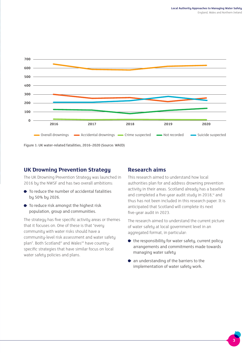

Figure 1: UK water-related fatalities, 2016–2020 (Source: WAID)

#### **UK Drowning Prevention Strategy**

The UK Drowning Prevention Strategy was launched in 2016 by the NWSF and has two overall ambitions:

- To reduce the number of accidental fatalities by 50% by 2026.
- To reduce risk amongst the highest risk population, group and communities.

The strategy has five specific activity areas or themes that it focuses on. One of these is that "every community with water risks should have a community-level risk assessment and water safety plan". Both Scotland<sup>vi</sup> and Wales<sup>vii</sup> have countryspecific strategies that have similar focus on local water safety policies and plans.

#### **Research aims**

This research aimed to understand how local authorities plan for and address drowning prevention activity in their areas. Scotland already has a baseline and completed a five-year audit study in 2018,<sup>iv</sup> and thus has not been included in this research paper. It is anticipated that Scotland will complete its next five-year audit in 2023.

The research aimed to understand the current picture of water safety at local government level in an aggregated format, in particular:

- $\bullet$  the responsibility for water safety, current policy arrangements and commitments made towards managing water safety
- an understanding of the barriers to the implementation of water safety work.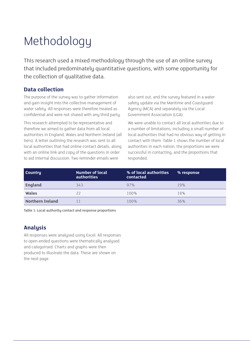# Methodology

This research used a mixed methodology through the use of an online survey that included predominately quantitative questions, with some opportunity for the collection of qualitative data.

### **Data collection**

The purpose of the survey was to gather information and gain insight into the collective management of water safety. All responses were therefore treated as confidential and were not shared with any third party.

This research attempted to be representative and therefore we aimed to gather data from all local authorities in England, Wales and Northern Ireland (all tiers). A letter outlining the research was sent to all local authorities that had online contact details, along with an online link and copy of the questions in order to aid internal discussion. Two reminder emails were

also sent out, and the survey featured in a water safety update via the Maritime and Coastguard Agency (MCA) and separately via the Local Government Association (LGA).

We were unable to contact all local authorities due to a number of limitations, including a small number of local authorities that had no obvious way of getting in contact with them. Table 1 shows the number of local authorities in each nation, the proportions we were successful in contacting, and the proportions that responded.

| <b>Country</b>          | Number of local<br>authorities <b>l</b> | % of local authorities<br>contacted | % response |
|-------------------------|-----------------------------------------|-------------------------------------|------------|
| <b>England</b>          | 343                                     | 97%                                 | 19%        |
| Wales                   | 22                                      | 100%                                | 18%        |
| <b>Northern Ireland</b> |                                         | 100%                                | 36%        |

Table 1: Local authority contact and response proportions

### **Analysis**

All responses were analysed using Excel. All responses to open-ended questions were thematically analysed and categorised. Charts and graphs were then produced to illustrate the data. These are shown on the next page.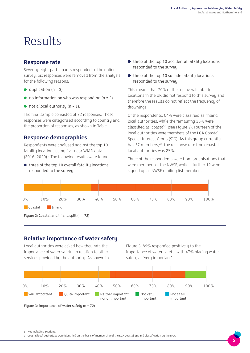## Results

#### **Response rate**

Seventy-eight participants responded to the online survey. Six responses were removed from the analysis for the following reasons:

- $\bullet$  duplication (n = 3)
- $\bullet$  no information on who was responding (n = 2)
- $\bullet$  not a local authority (n = 1).

The final sample consisted of 72 responses. These responses were categorised according to country and the proportion of responses, as shown in Table 1.

#### **Response demographics**

Respondents were analysed against the top 10 fatalitu locations using five-year WAID data (2016-2020).<sup>1</sup> The following results were found:

 $\bullet$  three of the top 10 overall fatality locations responded to the survey

- $\bullet$  three of the top 10 accidental fatality locations responded to the survey
- $\bullet$  three of the top 10 suicide fatality locations responded to the survey.

This means that 70% of the top overall fatality locations in the UK did not respond to this survey and therefore the results do not reflect the frequency of drownings.

Of the respondents, 64% were classified as 'inland' local authorities, while the remaining 36% were classified as 'coastal'<sup>2</sup> (see Figure 2). Fourteen of the local authorities were members of the LGA Coastal Special Interest Group (SIG). As this group currently has 57 members.<sup>viii</sup> the response rate from coastal local authorities was 25%.

Three of the respondents were from organisations that were members of the NWSF, while a further 12 were signed up as NWSF mailing list members.



Figure 2: Coastal and inland split (n = 72)

#### **Relative importance of water safety**

Local authorities were asked how they rate the importance of water safety, in relation to other services provided by the authority. As shown in

Figure 3, 89% responded positively to the importance of water safety, with 47% placing water safety as 'very important'.



Figure 3: Importance of water safety (n = 72)

<sup>1</sup> Not including Scotland.

<sup>2</sup> Coastal local authorities were identified on the basis of membership of the LGA Coastal SIG and classification by the MCA.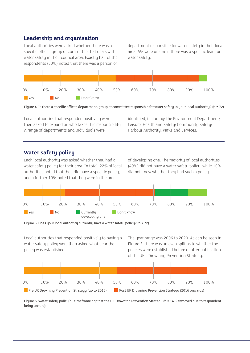### **Leadership and organisation**

Local authorities were asked whether there was a specific officer, group or committee that deals with water safety in their council area. Exactly half of the respondents (50%) noted that there was a person or

department responsible for water safety in their local area; 6% were unsure if there was a specific lead for water safety.



Figure 4: Is there a specific officer, department, group or committee responsible for water safety in your local authority? (n = 72)

Local authorities that responded positively were then asked to expand on who takes this responsibility. A range of departments and individuals were

identified, including: the Environment Department; Leisure, Health and Safety; Community Safety; Harbour Authority; Parks and Services.

#### **Water safety policy**

Each local authority was asked whether they had a water safety policy for their area. In total, 22% of local authorities noted that they did have a specific policy, and a further 19% noted that they were in the process

of developing one. The majority of local authorities (49%) did not have a water safety policy, while 10% did not know whether they had such a policy.



Figure 5: Does your local authority currently have a water safety policy? (n = 72)

Local authorities that responded positively to having a water safety policy were then asked what year the policy was established.

The year range was 2006 to 2020. As can be seen in Figure 5, there was an even split as to whether the policies were established before or after publication of the UK's Drowning Prevention Strategy.



Figure 6: Water safety policy by timeframe against the UK Drowning Prevention Strategy (n = 14, 2 removed due to respondent being unsure)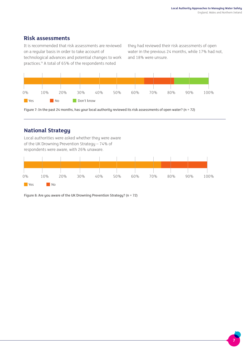### **Risk assessments**

It is recommended that risk assessments are reviewed on a regular basis in order to take account of technological advances and potential changes to work

practices.<sup>ix</sup> A total of 65% of the respondents noted

they had reviewed their risk assessments of open water in the previous 24 months, while 17% had not, and 18% were unsure.



Figure 7: In the past 24 months, has your local authority reviewed its risk assessments of open water? (n = 72)

### **National Strategy**

Local authorities were asked whether they were aware of the UK Drowning Prevention Strategy – 74% of respondents were aware, with 26% unaware.



Figure 8: Are you aware of the UK Drowning Prevention Strategy? (n = 72)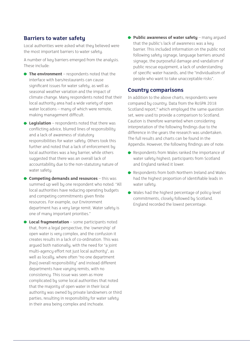#### **Barriers to water safety**

Local authorities were asked what they believed were the most important barriers to water safety.

A number of key barriers emerged from the analysis. These include:

- **← The environment** respondents noted that the interface with bars/restaurants can cause significant issues for water safety, as well as seasonal weather variation and the impact of climate change. Many respondents noted that their local authority area had a wide variety of open water locations – many of which were remote, making management difficult.
- **Legislation** respondents noted that there was conflicting advice, blurred lines of responsibility and a lack of awareness of statutory responsibilities for water safety. Others took this further and noted that a lack of enforcement by local authorities was a key barrier, while others suggested that there was an overall lack of accountability due to the non-statutory nature of water safety.
- **Competing demands and resources** this was summed up well by one respondent who noted: "All local authorities have reducing operating budgets and competing commitments given finite resources. For example, our Environment department has a very large remit. Water safety is one of many important priorities."
- **Local fragmentation** some participants noted that, from a legal perspective, the 'ownership' of open water is very complex, and the confusion it creates results in a lack of co-ordination. This was argued both nationally, with the need for "a joint multi-agency effort not just local authority", as well as locally, where often "no one department [has] overall responsibility" and instead different departments have varying remits, with no consistency. This issue was seen as more complicated by some local authorities that noted that the majority of open water in their local authority was owned by private landowners or third parties, resulting in responsibility for water safety in their area being complex and inchoate.

 **Public awareness of water safety** – many argued that the public's lack of awareness was a key barrier. This included information on the public not following safety signage, language barriers around signage, the purposeful damage and vandalism of public rescue equipment, a lack of understanding of specific water hazards, and the "individualism of people who want to take unacceptable risks".

#### **Country comparisons**

In addition to the above charts, respondents were compared by country. Data from the RoSPA 2018 Scotland report,<sup>iv</sup> which employed the same question set, were used to provide a comparison to Scotland. Caution is therefore warranted when considering interpretation of the following findings due to the difference in the years the research was undertaken. The full results and charts can be found in the Appendix. However, the following findings are of note:

- Respondents from Wales ranked the importance of water safety highest; participants from Scotland and England ranked it lower.
- ◆ Respondents from both Northern Ireland and Wales had the highest proportion of identifiable leads in water safety.
- Wales had the highest percentage of policy-level commitments, closely followed by Scotland. England recorded the lowest percentage.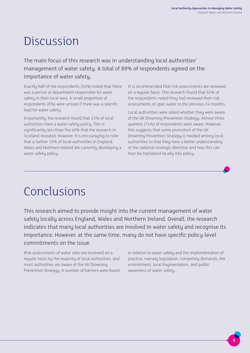## Discussion

The main focus of this research was in understanding local authorities' management of water safety. A total of 89% of respondents agreed on the importance of water safety.

Exactly half of the respondents (50%) noted that there was a person or department responsible for water safety in their local area. A small proportion of respondents (6%) were unsure if there was a specific lead for water safety.

Importantly, the research found that 22% of local authorities have a water safety policy. This is significantly less than the 40% that the research in Scotland revealed. However, it is encouraging to note that a further 19% of local authorities in England, Wales and Northern Ireland are currently developing a water safety policy.

It is recommended that risk assessments are reviewed on a regular basis. This research found that 65% of the respondents noted they had reviewed their risk assessments of open water in the previous 24 months.

Local authorities were asked whether they were aware of the UK Drowning Prevention Strategy. Almost three quarters (74%) of respondents were aware. However, this suggests that some promotion of the UK Drowning Prevention Strategy is needed among local authorities so that they have a better understanding of the national strategic direction and how this can then be translated locally into policy.

# Conclusions

This research aimed to provide insight into the current management of water safety locally across England, Wales and Northern Ireland. Overall, the research indicates that many local authorities are involved in water safety and recognise its importance. However, at the same time, many do not have specific policy-level commitments on the issue.

Risk assessments of water sites are reviewed on a regular basis by the majority of local authorities, and most authorities are aware of the UK Drowning Prevention Strategy. A number of barriers were found in relation to water safety and the implementation of practice, namely legislation, competing demands, the environment, local fragmentation, and public awareness of water safety.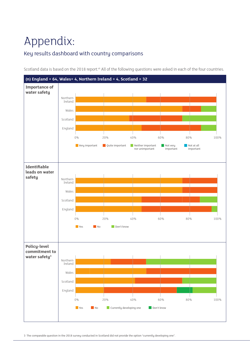# Appendix:

### Key results dashboard with country comparisons



Scotland data is based on the 2018 report.<sup>vii</sup> All of the following questions were asked in each of the four countries.

3 The comparable question in the 2018 survey conducted in Scotland did not provide the option "currently developing one".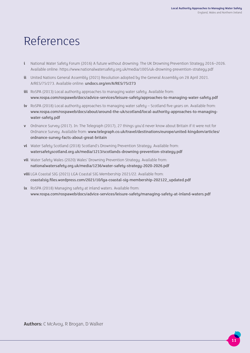## References

- **i** National Water Safety Forum (2016) A future without drowning: The UK Drowning Prevention Strategy 2016–2026. Available online: https://www.nationalwatersafety.org.uk/media/1005/uk-drowning-prevention-strategy.pdf
- **ii** United Nations General Assembly (2021) Resolution adopted by the General Assembly on 28 April 2021. A/RES/75/273. Available online: undocs.org/en/A/RES/75/273
- **iii** RoSPA (2013) Local authority approaches to managing water safety. Available from: www.rospa.com/rospaweb/docs/advice-services/leisure-safety/approaches-to-managing-water-safety.pdf
- **iv** RoSPA (2018) Local authority approaches to managing water safety Scotland five years on. Available from: www.rospa.com/rospaweb/docs/about/around-the-uk/scotland/local-authority-approaches-to-managingwater-safety.pdf
- **v** Ordnance Survey (2017). In: The Telegraph (2017), 27 things you'd never know about Britain if it were not for Ordnance Survey. Available from: www.telegraph.co.uk/travel/destinations/europe/united-kingdom/articles/ ordnance-survey-facts-about-great-britain
- **vi** Water Safety Scotland (2018) Scotland's Drowning Prevention Strategy. Available from: watersafetyscotland.org.uk/media/1213/scotlands-drowning-prevention-strategy.pdf
- **vii** Water Safety Wales (2020) Wales' Drowning Prevention Strategy. Available from: nationalwatersafety.org.uk/media/1236/water-safety-strategy-2020-2026.pdf
- **viii** LGA Coastal SIG (2021) LGA Coastal SIG Membership 2021/22. Available from: coastalsig.files.wordpress.com/2021/10/lga-coastal-sig-membership-202122\_updated.pdf
- **ix** RoSPA (2018) Managing safety at inland waters. Available from: www.rospa.com/rospaweb/docs/advice-services/leisure-safety/managing-safety-at-inland-waters.pdf

**Authors:** C McAvoy, R Brogan, D Walker